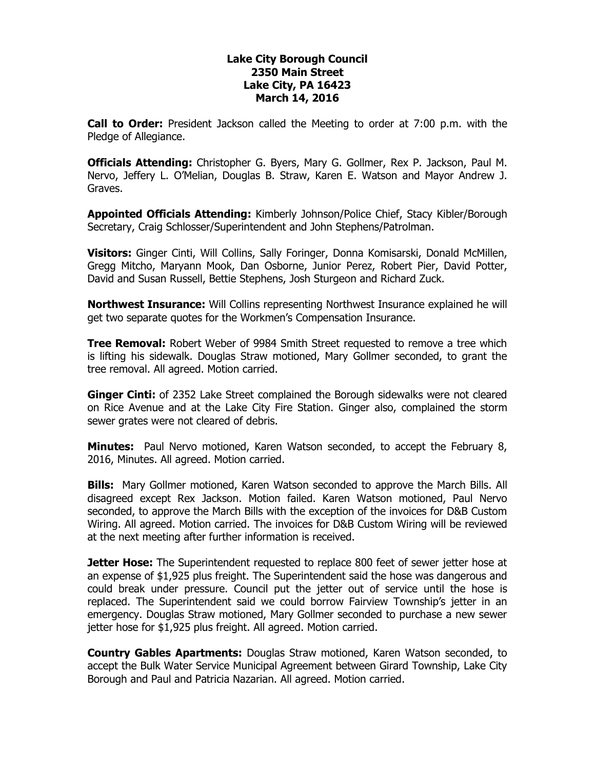## **Lake City Borough Council 2350 Main Street Lake City, PA 16423 March 14, 2016**

**Call to Order:** President Jackson called the Meeting to order at 7:00 p.m. with the Pledge of Allegiance.

**Officials Attending:** Christopher G. Byers, Mary G. Gollmer, Rex P. Jackson, Paul M. Nervo, Jeffery L. O'Melian, Douglas B. Straw, Karen E. Watson and Mayor Andrew J. Graves.

**Appointed Officials Attending:** Kimberly Johnson/Police Chief, Stacy Kibler/Borough Secretary, Craig Schlosser/Superintendent and John Stephens/Patrolman.

**Visitors:** Ginger Cinti, Will Collins, Sally Foringer, Donna Komisarski, Donald McMillen, Gregg Mitcho, Maryann Mook, Dan Osborne, Junior Perez, Robert Pier, David Potter, David and Susan Russell, Bettie Stephens, Josh Sturgeon and Richard Zuck.

**Northwest Insurance:** Will Collins representing Northwest Insurance explained he will get two separate quotes for the Workmen's Compensation Insurance.

**Tree Removal:** Robert Weber of 9984 Smith Street requested to remove a tree which is lifting his sidewalk. Douglas Straw motioned, Mary Gollmer seconded, to grant the tree removal. All agreed. Motion carried.

**Ginger Cinti:** of 2352 Lake Street complained the Borough sidewalks were not cleared on Rice Avenue and at the Lake City Fire Station. Ginger also, complained the storm sewer grates were not cleared of debris.

**Minutes:** Paul Nervo motioned, Karen Watson seconded, to accept the February 8, 2016, Minutes. All agreed. Motion carried.

**Bills:** Mary Gollmer motioned, Karen Watson seconded to approve the March Bills. All disagreed except Rex Jackson. Motion failed. Karen Watson motioned, Paul Nervo seconded, to approve the March Bills with the exception of the invoices for D&B Custom Wiring. All agreed. Motion carried. The invoices for D&B Custom Wiring will be reviewed at the next meeting after further information is received.

**Jetter Hose:** The Superintendent requested to replace 800 feet of sewer jetter hose at an expense of \$1,925 plus freight. The Superintendent said the hose was dangerous and could break under pressure. Council put the jetter out of service until the hose is replaced. The Superintendent said we could borrow Fairview Township's jetter in an emergency. Douglas Straw motioned, Mary Gollmer seconded to purchase a new sewer jetter hose for \$1,925 plus freight. All agreed. Motion carried.

**Country Gables Apartments:** Douglas Straw motioned, Karen Watson seconded, to accept the Bulk Water Service Municipal Agreement between Girard Township, Lake City Borough and Paul and Patricia Nazarian. All agreed. Motion carried.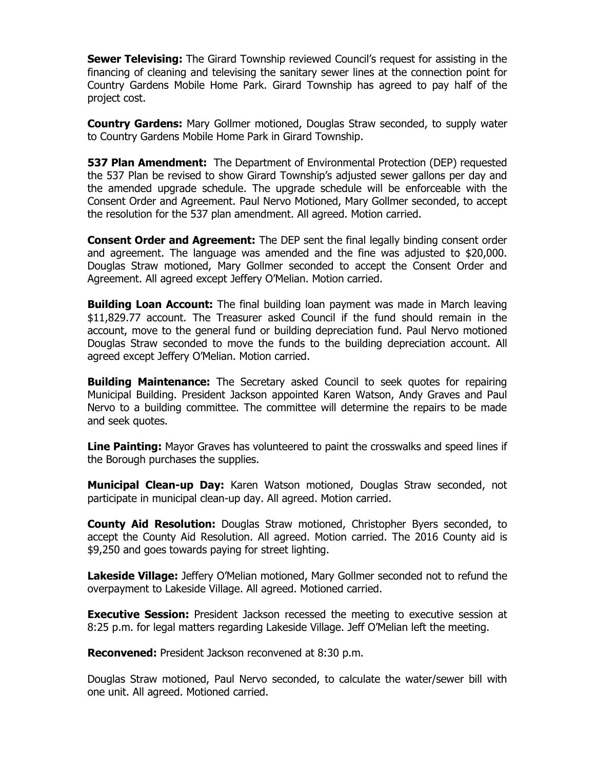**Sewer Televising:** The Girard Township reviewed Council's request for assisting in the financing of cleaning and televising the sanitary sewer lines at the connection point for Country Gardens Mobile Home Park. Girard Township has agreed to pay half of the project cost.

**Country Gardens:** Mary Gollmer motioned, Douglas Straw seconded, to supply water to Country Gardens Mobile Home Park in Girard Township.

**537 Plan Amendment:** The Department of Environmental Protection (DEP) requested the 537 Plan be revised to show Girard Township's adjusted sewer gallons per day and the amended upgrade schedule. The upgrade schedule will be enforceable with the Consent Order and Agreement. Paul Nervo Motioned, Mary Gollmer seconded, to accept the resolution for the 537 plan amendment. All agreed. Motion carried.

**Consent Order and Agreement:** The DEP sent the final legally binding consent order and agreement. The language was amended and the fine was adjusted to \$20,000. Douglas Straw motioned, Mary Gollmer seconded to accept the Consent Order and Agreement. All agreed except Jeffery O'Melian. Motion carried.

**Building Loan Account:** The final building loan payment was made in March leaving \$11,829.77 account. The Treasurer asked Council if the fund should remain in the account, move to the general fund or building depreciation fund. Paul Nervo motioned Douglas Straw seconded to move the funds to the building depreciation account. All agreed except Jeffery O'Melian. Motion carried.

**Building Maintenance:** The Secretary asked Council to seek quotes for repairing Municipal Building. President Jackson appointed Karen Watson, Andy Graves and Paul Nervo to a building committee. The committee will determine the repairs to be made and seek quotes.

**Line Painting:** Mayor Graves has volunteered to paint the crosswalks and speed lines if the Borough purchases the supplies.

**Municipal Clean-up Day:** Karen Watson motioned, Douglas Straw seconded, not participate in municipal clean-up day. All agreed. Motion carried.

**County Aid Resolution:** Douglas Straw motioned, Christopher Byers seconded, to accept the County Aid Resolution. All agreed. Motion carried. The 2016 County aid is \$9,250 and goes towards paying for street lighting.

**Lakeside Village:** Jeffery O'Melian motioned, Mary Gollmer seconded not to refund the overpayment to Lakeside Village. All agreed. Motioned carried.

**Executive Session:** President Jackson recessed the meeting to executive session at 8:25 p.m. for legal matters regarding Lakeside Village. Jeff O'Melian left the meeting.

**Reconvened:** President Jackson reconvened at 8:30 p.m.

Douglas Straw motioned, Paul Nervo seconded, to calculate the water/sewer bill with one unit. All agreed. Motioned carried.